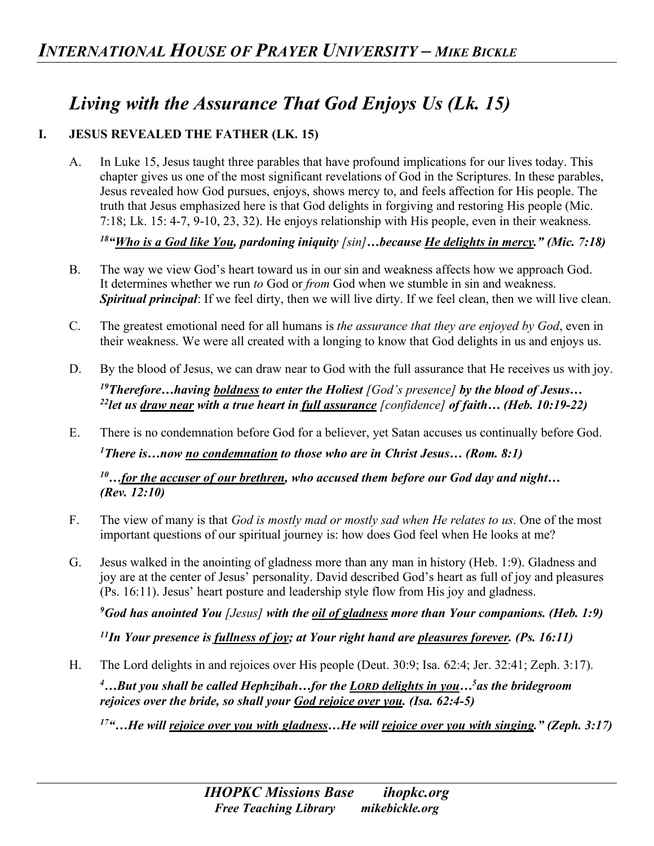# *Living with the Assurance That God Enjoys Us (Lk. 15)*

## **I. JESUS REVEALED THE FATHER (LK. 15)**

A. In Luke 15, Jesus taught three parables that have profound implications for our lives today. This chapter gives us one of the most significant revelations of God in the Scriptures. In these parables, Jesus revealed how God pursues, enjoys, shows mercy to, and feels affection for His people. The truth that Jesus emphasized here is that God delights in forgiving and restoring His people (Mic. 7:18; Lk. 15: 4-7, 9-10, 23, 32). He enjoys relationship with His people, even in their weakness.

*18"Who is a God like You, pardoning iniquity [sin]…because He delights in mercy." (Mic. 7:18)* 

- B. The way we view God's heart toward us in our sin and weakness affects how we approach God. It determines whether we run *to* God or *from* God when we stumble in sin and weakness. *Spiritual principal*: If we feel dirty, then we will live dirty. If we feel clean, then we will live clean.
- C. The greatest emotional need for all humans is *the assurance that they are enjoyed by God*, even in their weakness. We were all created with a longing to know that God delights in us and enjoys us.
- D. By the blood of Jesus, we can draw near to God with the full assurance that He receives us with joy.

*19Therefore…having boldness to enter the Holiest [God's presence] by the blood of Jesus… 22let us draw near with a true heart in full assurance [confidence] of faith… (Heb. 10:19-22)* 

E. There is no condemnation before God for a believer, yet Satan accuses us continually before God. *1 There is…now no condemnation to those who are in Christ Jesus… (Rom. 8:1) 10…for the accuser of our brethren, who accused them before our God day and night…*

*(Rev. 12:10)*

- F. The view of many is that *God is mostly mad or mostly sad when He relates to us*. One of the most important questions of our spiritual journey is: how does God feel when He looks at me?
- G. Jesus walked in the anointing of gladness more than any man in history (Heb. 1:9). Gladness and joy are at the center of Jesus' personality. David described God's heart as full of joy and pleasures (Ps. 16:11). Jesus' heart posture and leadership style flow from His joy and gladness.

*9 God has anointed You [Jesus] with the oil of gladness more than Your companions. (Heb. 1:9)*

*11In Your presence is fullness of joy; at Your right hand are pleasures forever. (Ps. 16:11)*

H. The Lord delights in and rejoices over His people (Deut. 30:9; Isa. 62:4; Jer. 32:41; Zeph. 3:17).

*4 …But you shall be called Hephzibah…for the LORD delights in you…5 as the bridegroom rejoices over the bride, so shall your God rejoice over you. (Isa. 62:4-5)*

*17"…He will rejoice over you with gladness…He will rejoice over you with singing." (Zeph. 3:17)*